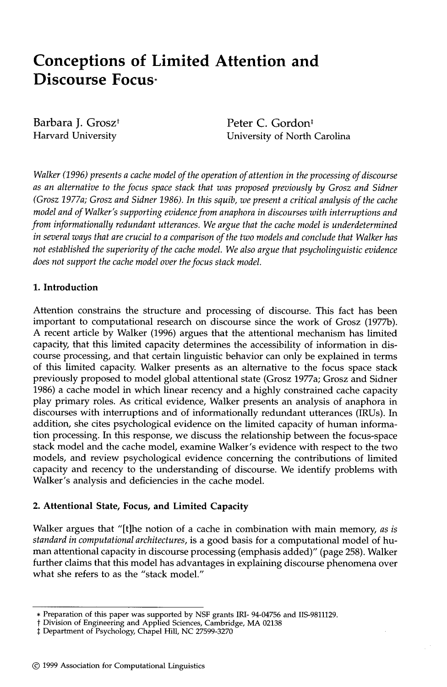# **Conceptions of Limited Attention and Discourse Focus-**

Barbara J. Grosz<sup>†</sup> Harvard University

Peter C. Gordon<sup>#</sup> University of North Carolina

*Walker (1996) presents a cache model of the operation of attention in the processing of discourse as an alternative to the focus space stack that was proposed previously by Grosz and Sidner (Grosz 1977a; Grosz and Sidner 1986). In this squib, we present a critical analysis of the cache model and of Walker's supporting evidence from anaphora in discourses with interruptions and from informationally redundant utterances. We argue that the cache model is underdetermined in several ways that are crucial to a comparison of the two models and conclude that Walker has not established the superiority of the cache model. We also argue that psycholinguistic evidence does not support the cache model over the focus stack model.* 

## **1. Introduction**

Attention constrains the structure and processing of discourse. This fact has been important to computational research on discourse since the work of Grosz (1977b). A recent article by Walker (1996) argues that the attentional mechanism has limited capacity, that this limited capacity determines the accessibility of information in discourse processing, and that certain linguistic behavior can only be explained in terms of this limited capacity. Walker presents as an alternative to the focus space stack previously proposed to model global attentional state (Grosz 1977a; Grosz and Sidner 1986) a cache model in which linear recency and a highly constrained cache capacity play primary roles. As critical evidence, Walker presents an analysis of anaphora in discourses with interruptions and of informationally redundant utterances (IRUs). In addition, she cites psychological evidence on the limited capacity of human information processing. In this response, we discuss the relationship between the focus-space stack model and the cache model, examine Walker's evidence with respect to the two models, and review psychological evidence concerning the contributions of limited capacity and recency to the understanding of discourse. We identify problems with Walker's analysis and deficiencies in the cache model.

## **2. Attentional State, Focus, and Limited Capacity**

Walker argues that "[t]he notion of a cache in combination with main memory, *as is standard in computational architectures,* is a good basis for a computational model of human attentional capacity in discourse processing (emphasis added)" (page 258). Walker further claims that this model has advantages in explaining discourse phenomena over what she refers to as the "stack model."

<sup>\*</sup> Preparation of this paper was supported by NSF grants IRI- 94-04756 and IIS-9811129.

t Division of Engineering and Applied Sciences, Cambridge, MA 02138

<sup>~:</sup> Department of Psychology, Chapel Hill, NC 27599-3270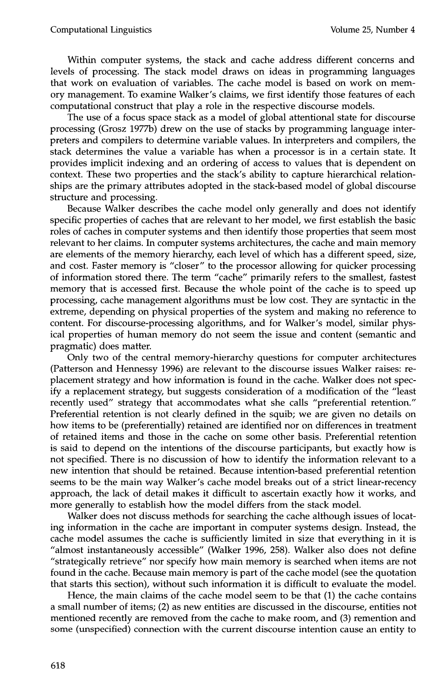Within computer systems, the stack and cache address different concerns and levels of processing. The stack model draws on ideas in programming languages that work on evaluation of variables. The cache model is based on work on memory management. To examine Walker's claims, we first identify those features of each computational construct that play a role in the respective discourse models.

The use of a focus space stack as a model of global attentional state for discourse processing (Grosz 1977b) drew on the use of stacks by programming language interpreters and compilers to determine variable values. In interpreters and compilers, the stack determines the value a variable has when a processor is in a certain state. It provides implicit indexing and an ordering of access to values that is dependent on context. These two properties and the stack's ability to capture hierarchical relationships are the primary attributes adopted in the stack-based model of global discourse structure and processing.

Because Walker describes the cache model only generally and does not identify specific properties of caches that are relevant to her model, we first establish the basic roles of caches in computer systems and then identify those properties that seem most relevant to her claims. In computer systems architectures, the cache and main memory are elements of the memory hierarchy, each level of which has a different speed, size, and cost. Faster memory is "closer" to the processor allowing for quicker processing of information stored there. The term "cache" primarily refers to the smallest, fastest memory that is accessed first. Because the whole point of the cache is to speed up processing, cache management algorithms must be low cost. They are syntactic in the extreme, depending on physical properties of the system and making no reference to content. For discourse-processing algorithms, and for Walker's model, similar physical properties of human memory do not seem the issue and content (semantic and pragmatic) does matter.

Only two of the central memory-hierarchy questions for computer architectures (Patterson and Hennessy 1996) are relevant to the discourse issues Walker raises: replacement strategy and how information is found in the cache. Walker does not specify a replacement strategy, but suggests consideration of a modification of the "least recently used" strategy that accommodates what she calls "preferential retention." Preferential retention is not clearly defined in the squib; we are given no details on how items to be (preferentially) retained are identified nor on differences in treatment of retained items and those in the cache on some other basis. Preferential retention is said to depend on the intentions of the discourse participants, but exactly how is not specified. There is no discussion of how to identify the information relevant to a new intention that should be retained. Because intention-based preferential retention seems to be the main way Walker's cache model breaks out of a strict linear-recency approach, the lack of detail makes it difficult to ascertain exactly how it works, and more generally to establish how the model differs from the stack model.

Walker does not discuss methods for searching the cache although issues of locating information in the cache are important in computer systems design. Instead, the cache model assumes the cache is sufficiently limited in size that everything in it is "almost instantaneously accessible" (Walker 1996, 258). Walker also does not define "strategically retrieve" nor specify how main memory is searched when items are not found in the cache. Because main memory is part of the cache model (see the quotation that starts this section), without such information it is difficult to evaluate the model.

Hence, the main claims of the cache model seem to be that (1) the cache contains a small number of items; (2) as new entities are discussed in the discourse, entities not mentioned recently are removed from the cache to make room, and (3) remention and some (unspecified) connection with the current discourse intention cause an entity to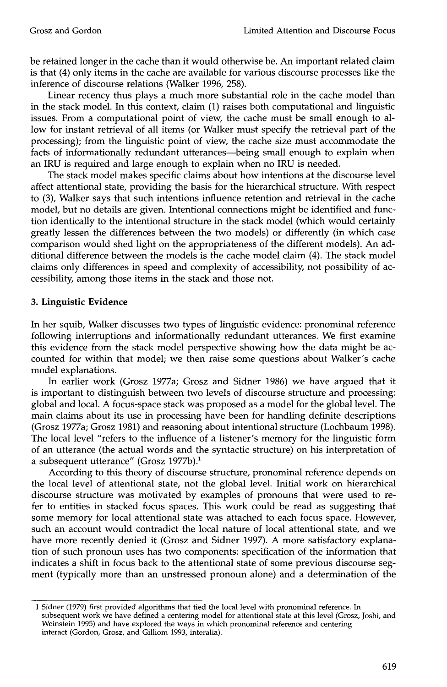be retained longer in the cache than it would otherwise be. An important related claim is that (4) only items in the cache are available for various discourse processes like the inference of discourse relations (Walker 1996, 258).

Linear recency thus plays a much more substantial role in the cache model than in the stack model. In this context, claim (1) raises both computational and linguistic issues. From a computational point of view, the cache must be small enough to allow for instant retrieval of all items (or Walker must specify the retrieval part of the processing); from the linguistic point of view, the cache size must accommodate the facts of informationally redundant utterances-being small enough to explain when an IRU is required and large enough to explain when no IRU is needed.

The stack model makes specific claims about how intentions at the discourse level affect attentional state, providing the basis for the hierarchical structure. With respect to (3), Walker says that such intentions influence retention and retrieval in the cache model, but no details are given. Intentional connections might be identified and function identically to the intentional structure in the stack model (which would certainly greatly lessen the differences between the two models) or differently (in which case comparison would shed light on the appropriateness of the different models). An additional difference between the models is the cache model claim (4). The stack model claims only differences in speed and complexity of accessibility, not possibility of accessibility, among those items in the stack and those not.

#### **3. Linguistic Evidence**

In her squib, Walker discusses two types of linguistic evidence: pronominal reference following interruptions and informationally redundant utterances. We first examine this evidence from the stack model perspective showing how the data might be accounted for within that model; we then raise some questions about Walker's cache model explanations.

In earlier work (Grosz 1977a; Grosz and Sidner 1986) we have argued that it is important to distinguish between two levels of discourse structure and processing: global and local. A focus-space stack was proposed as a model for the global level. The main claims about its use in processing have been for handling definite descriptions (Grosz 1977a; Grosz 1981) and reasoning about intentional structure (Lochbaum 1998). The local level "refers to the influence of a listener's memory for the linguistic form of an utterance (the actual words and the syntactic structure) on his interpretation of a subsequent utterance" (Grosz 1977b).<sup>1</sup>

According to this theory of discourse structure, pronominal reference depends on the local level of attentional state, not the global level. Initial work on hierarchical discourse structure was motivated by examples of pronouns that were used to refer to entities in stacked focus spaces. This work could be read as suggesting that some memory for local attentional state was attached to each focus space. However, such an account would contradict the local nature of local attentional state, and we have more recently denied it (Grosz and Sidner 1997). A more satisfactory explanation of such pronoun uses has two components: specification of the information that indicates a shift in focus back to the attentional state of some previous discourse segment (typically more than an unstressed pronoun alone) and a determination of the

<sup>1</sup> Sidner (1979) first provided algorithms that tied the local level with pronominal reference. In subsequent work we have defined a centering model for attentional state at this level (Grosz, Joshi, and Weinstein 1995) and have explored the ways in which pronominal reference and centering interact (Gordon, Grosz, and Gilliom 1993, interalia).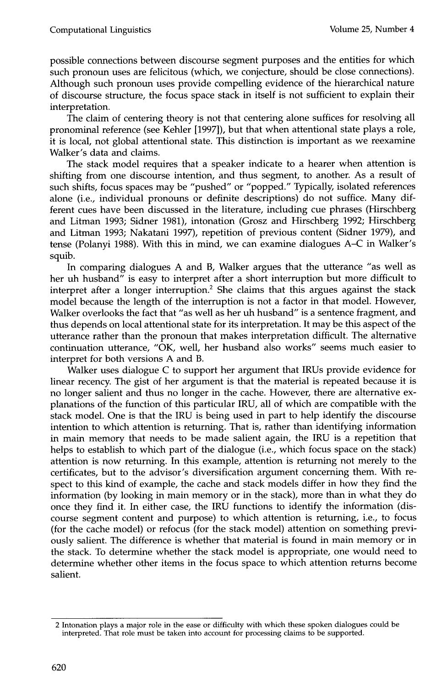possible connections between discourse segment purposes and the entities for which such pronoun uses are felicitous (which, we conjecture, should be close connections). Although such pronoun uses provide compelling evidence of the hierarchical nature of discourse structure, the focus space stack in itself is not sufficient to explain their interpretation.

The claim of centering theory is not that centering alone suffices for resolving all pronominal reference (see Kehler [1997]), but that when attentional state plays a role, it is local, not global attentional state. This distinction is important as we reexamine Walker's data and claims.

The stack model requires that a speaker indicate to a hearer when attention is shifting from one discourse intention, and thus segment, to another. As a result of such shifts, focus spaces may be "pushed" or "popped." Typically, isolated references alone (i.e., individual pronouns or definite descriptions) do not suffice. Many different cues have been discussed in the literature, including cue phrases (Hirschberg and Litman 1993; Sidner 1981), intonation (Grosz and Hirschberg 1992; Hirschberg and Litman 1993; Nakatani 1997), repetition of previous content (Sidner 1979), and tense (Polanyi 1988). With this in mind, we can examine dialogues A-C in Walker's squib.

In comparing dialogues A and B, Walker argues that the utterance "as well as her uh husband" is easy to interpret after a short interruption but more difficult to interpret after a longer interruption.<sup>2</sup> She claims that this argues against the stack model because the length of the interruption is not a factor in that model. However, Walker overlooks the fact that "as well as her uh husband" is a sentence fragment, and thus depends on local attentional state for its interpretation. It may be this aspect of the utterance rather than the pronoun that makes interpretation difficult. The alternative continuation utterance, "OK, well, her husband also works" seems much easier to interpret for both versions A and B.

Walker uses dialogue C to support her argument that IRUs provide evidence for linear recency. The gist of her argument is that the material is repeated because it is no longer salient and thus no longer in the cache. However, there are alternative explanations of the function of this particular IRU, all of which are compatible with the stack model. One is that the IRU is being used in part to help identify the discourse intention to which attention is returning. That is, rather than identifying information in main memory that needs to be made salient again, the IRU is a repetition that helps to establish to which part of the dialogue (i.e., which focus space on the stack) attention is now returning. In this example, attention is returning not merely to the certificates, but to the advisor's diversification argument concerning them. With respect to this kind of example, the cache and stack models differ in how they find the information (by looking in main memory or in the stack), more than in what they do once they find it. In either case, the IRU functions to identify the information (discourse segment content and purpose) to which attention is returning, i.e., to focus (for the cache model) or refocus (for the stack model) attention on something previously salient. The difference is whether that material is found in main memory or in the stack. To determine whether the stack model is appropriate, one would need to determine whether other items in the focus space to which attention returns become salient.

<sup>2</sup> Intonation plays a major role in the ease or difficulty with which these spoken dialogues could be interpreted. That role must be taken into account for processing claims to be supported.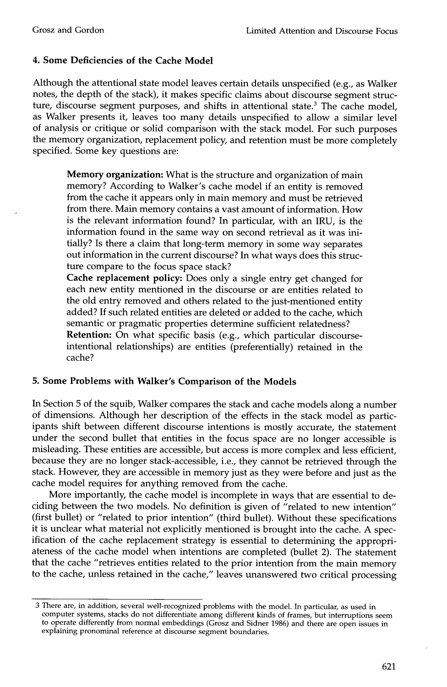## **4. Some Deficiencies of the Cache Model**

Although the attentional state model leaves certain details unspecified (e.g., as Walker notes, the depth of the stack), it makes specific claims about discourse segment structure, discourse segment purposes, and shifts in attentional state.<sup>3</sup> The cache model, as Walker presents it, leaves too many details unspecified to allow a similar level of analysis or critique or solid comparison with the stack model. For such purposes the memory organization, replacement policy, and retention must be more completely specified. Some key questions are:

**Memory organization:** What is the structure and organization of main memory? According to Walker's cache model if an entity is removed from the cache it appears only in main memory and must be retrieved from there. Main memory contains a vast amount of information. How is the relevant information found? In particular, with an IRU, is the information found in the same way on second retrieval as it was initially? Is there a claim that long-term memory in some way separates out information in the current discourse? In what ways does this structure compare to the focus space stack?

**Cache replacement policy:** Does only a single entry get changed for each new entity mentioned in the discourse or are entities related to the old entry removed and others related to the just-mentioned entity added? If such related entities are deleted or added to the cache, which semantic or pragmatic properties determine sufficient relatedness?

**Retention:** On what specific basis (e.g., which particular discourseintentional relationships) are entities (preferentially) retained in the cache?

#### **5. Some Problems with Walker's Comparison of the Models**

In Section 5 of the squib, Walker compares the stack and cache models along a number of dimensions. Although her description of the effects in the stack model as participants shift between different discourse intentions is mostly accurate, the statement under the second bullet that entities in the focus space are no longer accessible is misleading. These entities are accessible, but access is more complex and less efficient, because they are no longer stack-accessible, i.e., they cannot be retrieved through the stack. However, they are accessible in memory just as they were before and just as the cache model requires for anything removed from the cache.

More importantly, the cache model is incomplete in ways that are essential to deciding between the two models. No definition is given of "related to new intention" (first bullet) or "related to prior intention" (third bullet). Without these specifications it is unclear what material not explicitly mentioned is brought into the cache. A specification of the cache replacement strategy is essential to determining the appropriateness of the cache model when intentions are completed (bullet 2). The statement that the cache "retrieves entities related to the prior intention from the main memory to the cache, unless retained in the cache," leaves unanswered two critical processing

<sup>3</sup> There are, in addition, several well-recognized problems with the model. In particular, as used in computer systems, stacks do not differentiate among different kinds of frames, but interruptions seem to operate differently from normal embeddings (Grosz and Sidner 1986) and there are open issues in explaining pronominal reference at discourse segment boundaries.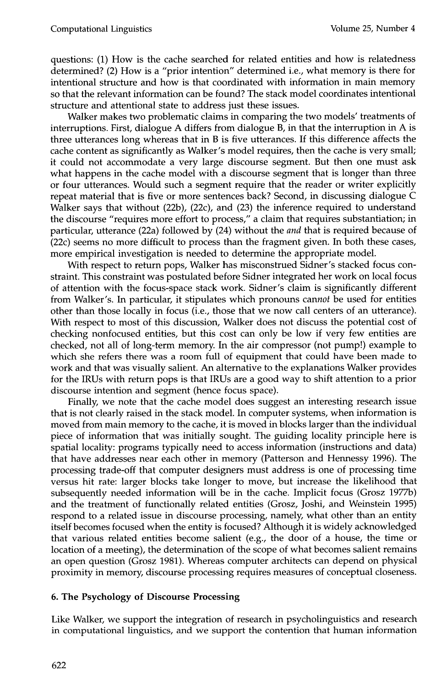questions: (1) How is the cache searched for related entities and how is relatedness determined? (2) How is a "prior intention" determined i.e., what memory is there for intentional structure and how is that coordinated with information in main memory so that the relevant information can be found? The stack model coordinates intentional structure and attentional state to address just these issues.

Walker makes two problematic claims in comparing the two models' treatments of interruptions. First, dialogue A differs from dialogue B, in that the interruption in A is three utterances long whereas that in B is five utterances. If this difference affects the cache content as significantly as Walker's model requires, then the cache is very small; it could not accommodate a very large discourse segment. But then one must ask what happens in the cache model with a discourse segment that is longer than three or four utterances. Would such a segment require that the reader or writer explicitly repeat material that is five or more sentences back? Second, in discussing dialogue C Walker says that without (22b), (22c), and (23) the inference required to understand the discourse "requires more effort to process," a claim that requires substantiation; in particular, utterance (22a) followed by (24) without the *and* that is required because of (22c) seems no more difficult to process than the fragment given. In both these cases, more empirical investigation is needed to determine the appropriate model.

With respect to return pops, Walker has misconstrued Sidner's stacked focus constraint. This constraint was postulated before Sidner integrated her work on local focus of attention with the focus-space stack work. Sidner's claim is significantly different from Walker's. In particular, it stipulates which pronouns *cannot* be used for entities other than those locally in focus (i.e., those that we now call centers of an utterance). With respect to most of this discussion, Walker does not discuss the potential cost of checking nonfocused entities, but this cost can only be low if very few entities are checked, not all of long-term memory. In the air compressor (not pump!) example to which she refers there was a room full of equipment that could have been made to work and that was visually salient. An alternative to the explanations Walker provides for the IRUs with return pops is that IRUs are a good way to shift attention to a prior discourse intention and segment (hence focus space).

Finally, we note that the cache model does suggest an interesting research issue that is not clearly raised in the stack model. In computer systems, when information is moved from main memory to the cache, it is moved in blocks larger than the individual piece of information that was initially sought. The guiding locality principle here is spatial locality: programs typically need to access information (instructions and data) that have addresses near each other in memory (Patterson and Hennessy 1996). The processing trade-off that computer designers must address is one of processing time versus hit rate: larger blocks take longer to move, but increase the likelihood that subsequently needed information will be in the cache. Implicit focus (Grosz 1977b) and the treatment of functionally related entities (Grosz, Joshi, and Weinstein 1995) respond to a related issue in discourse processing, namely, what other than an entity itself becomes focused when the entity is focused? Although it is widely acknowledged that various related entities become salient (e.g., the door of a house, the time or location of a meeting), the determination of the scope of what becomes salient remains an open question (Grosz 1981). Whereas computer architects can depend on physical proximity in memory, discourse processing requires measures of conceptual closeness.

## **6. The Psychology of Discourse Processing**

Like Walker, we support the integration of research in psycholinguistics and research in computational linguistics, and we support the contention that human information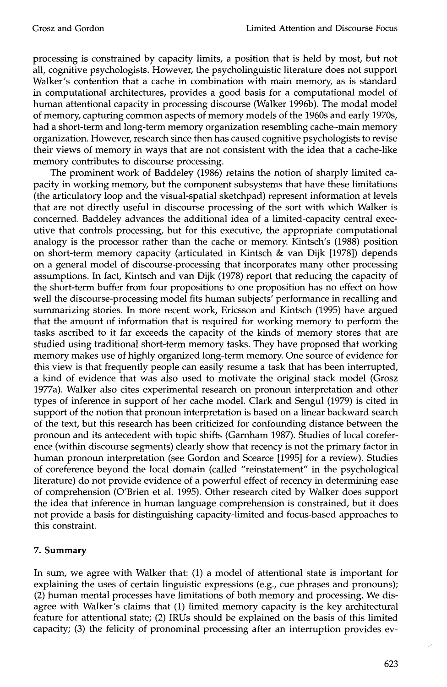processing is constrained by capacity limits, a position that is held by most, but not all, cognitive psychologists. However, the psycholinguistic literature does not support Walker's contention that a cache in combination with main memory, as is standard in computational architectures, provides a good basis for a computational model of human attentional capacity in processing discourse (Walker 1996b). The modal model of memory, capturing common aspects of memory models of the 1960s and early 1970s, had a short-term and long-term memory organization resembling cache-main memory organization. However, research since then has caused cognitive psychologists to revise their views of memory in ways that are not consistent with the idea that a cache-like memory contributes to discourse processing.

The prominent work of Baddeley (1986) retains the notion of sharply limited capacity in working memory, but the component subsystems that have these limitations (the articulatory loop and the visual-spatial sketchpad) represent information at levels that are not directly useful in discourse processing of the sort with which Walker is concerned. Baddeley advances the additional idea of a limited-capacity central executive that controls processing, but for this executive, the appropriate computational analogy is the processor rather than the cache or memory. Kintsch's (1988) position on short-term memory capacity (articulated in Kintsch & van Dijk [1978]) depends on a general model of discourse-processing that incorporates many other processing assumptions. In fact, Kintsch and van Dijk (1978) report that reducing the capacity of the short-term buffer from four propositions to one proposition has no effect on how well the discourse-processing model fits human subjects' performance in recalling and summarizing stories. In more recent work, Ericsson and Kintsch (1995) have argued that the amount of information that is required for working memory to perform the tasks ascribed to it far exceeds the capacity of the kinds of memory stores that are studied using traditional short-term memory tasks. They have proposed that working memory makes use of highly organized long-term memory. One source of evidence for this view is that frequently people can easily resume a task that has been interrupted, a kind of evidence that was also used to motivate the original stack model (Grosz 1977a). Walker also cites experimental research on pronoun interpretation and other types of inference in support of her cache model. Clark and Sengul (1979) is cited in support of the notion that pronoun interpretation is based on a linear backward search of the text, but this research has been criticized for confounding distance between the pronoun and its antecedent with topic shifts (Garnham 1987). Studies of local coreference (within discourse segments) clearly show that recency is not the primary factor in human pronoun interpretation (see Gordon and Scearce [1995] for a review). Studies of coreference beyond the local domain (called "reinstatement" in the psychological literature) do not provide evidence of a powerful effect of recency in determining ease of comprehension (O'Brien et al. 1995). Other research cited by Walker does support the idea that inference in human language comprehension is constrained, but it does not provide a basis for distinguishing capacity-limited and focus-based approaches to this constraint.

#### **7. Summary**

In sum, we agree with Walker that: (1) a model of attentional state is important for explaining the uses of certain linguistic expressions (e.g., cue phrases and pronouns); (2) human mental processes have limitations of both memory and processing. We disagree with Walker's claims that (1) limited memory capacity is the key architectural feature for attentional state; (2) IRUs should be explained on the basis of this limited capacity; (3) the felicity of pronominal processing after an interruption provides ev